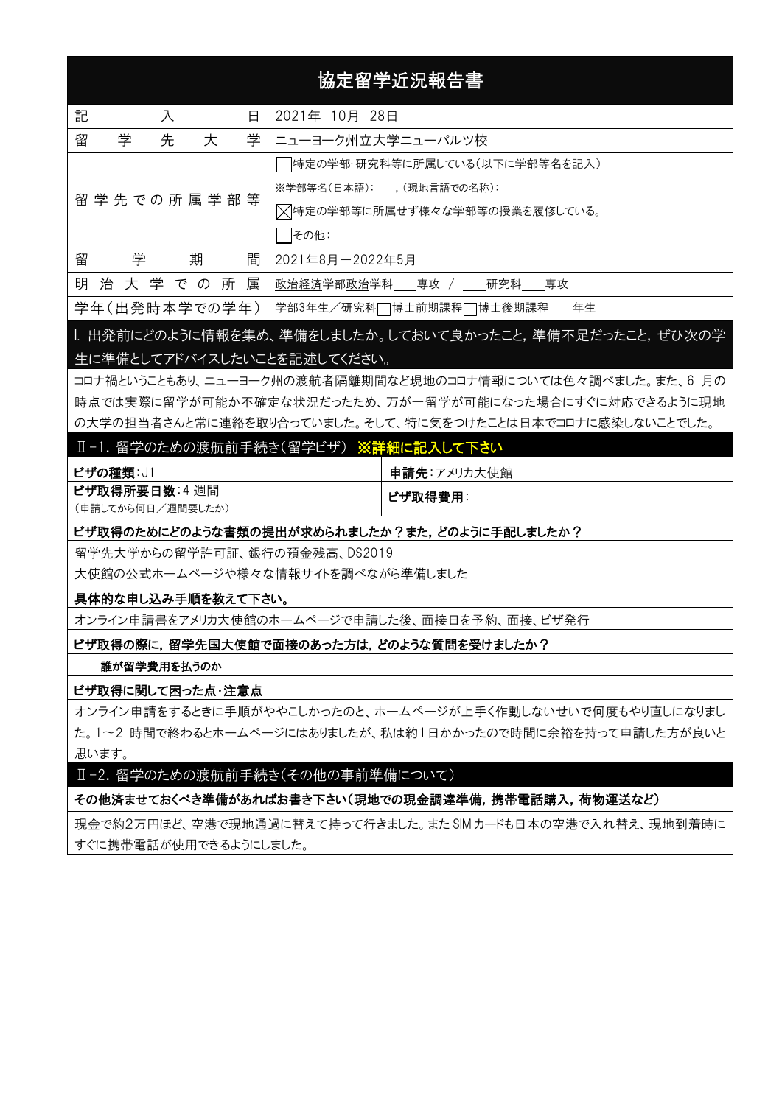# 協定留学近況報告書

| 記<br>入<br>日           | 2021年 10月 28日                 |  |
|-----------------------|-------------------------------|--|
| 学<br>留<br>先<br>学<br>大 | ニューヨーク州立大学ニューパルツ校             |  |
|                       | 特定の学部・研究科等に所属している(以下に学部等名を記入) |  |
|                       | ※学部等名(日本語): (現地言語での名称):       |  |
| 留 学 先 での 所 属 学 部 等    | ▽特定の学部等に所属せず様々な学部等の授業を履修している。 |  |
|                       | その他:                          |  |
| 学<br>期<br>間<br>留      | 2021年8月-2022年5月               |  |
| 明治大学での所属              | 政治経済学部政治学科 専攻 / 研究科 専攻        |  |
| 学年(出発時本学での学年)         | 学部3年生/研究科□博士前期課程□博士後期課程<br>年生 |  |

# I. 出発前にどのように情報を集め、準備をしましたか。しておいて良かったこと,準備不足だったこと,ぜひ次の学 生に準備としてアドバイスしたいことを記述してください。

コロナ禍ということもあり、ニューヨーク州の渡航者隔離期間など現地のコロナ情報については色々調べました。また、6 月の 時点では実際に留学が可能か不確定な状況だったため、万が一留学が可能になった場合にすぐに対応できるように現地 の大学の担当者さんと常に連絡を取り合っていました。そして、特に気をつけたことは日本でコロナに感染しないことでした。

### Ⅱ-1. 留学のための渡航前手続き(留学ビザ) ※詳細に記入して下さい

| ビザの種類: J1         | 申請先:アメリカ大使館 |
|-------------------|-------------|
| ビザ取得所要日数:4週間      | ビザ取得費用:     |
| (申請してから何日/週間要したか) |             |

#### ビザ取得のためにどのような書類の提出が求められましたか?また,どのように手配しましたか?

留学先大学からの留学許可証、銀行の預金残高、DS2019

大使館の公式ホームページや様々な情報サイトを調べながら準備しました

#### 具体的な申し込み手順を教えて下さい。

オンライン申請書をアメリカ大使館のホームページで申請した後、面接日を予約、面接、ビザ発行

ビザ取得の際に,留学先国大使館で面接のあった方は,どのような質問を受けましたか?

#### 誰が留学費用を払うのか

### ビザ取得に関して困った点・注意点

オンライン申請をするときに手順がややこしかったのと、ホームページが上手く作動しないせいで何度もやり直しになりまし た。1〜2 時間で終わるとホームページにはありましたが、私は約1日かかったので時間に余裕を持って申請した方が良いと 思います。

Ⅱ-2. 留学のための渡航前手続き(その他の事前準備について)

### その他済ませておくべき準備があればお書き下さい(現地での現金調達準備,携帯電話購入,荷物運送など)

現金で約2万円ほど、空港で現地通過に替えて持って行きました。また SIM カードも日本の空港で入れ替え、現地到着時に すぐに携帯電話が使用できるようにしました。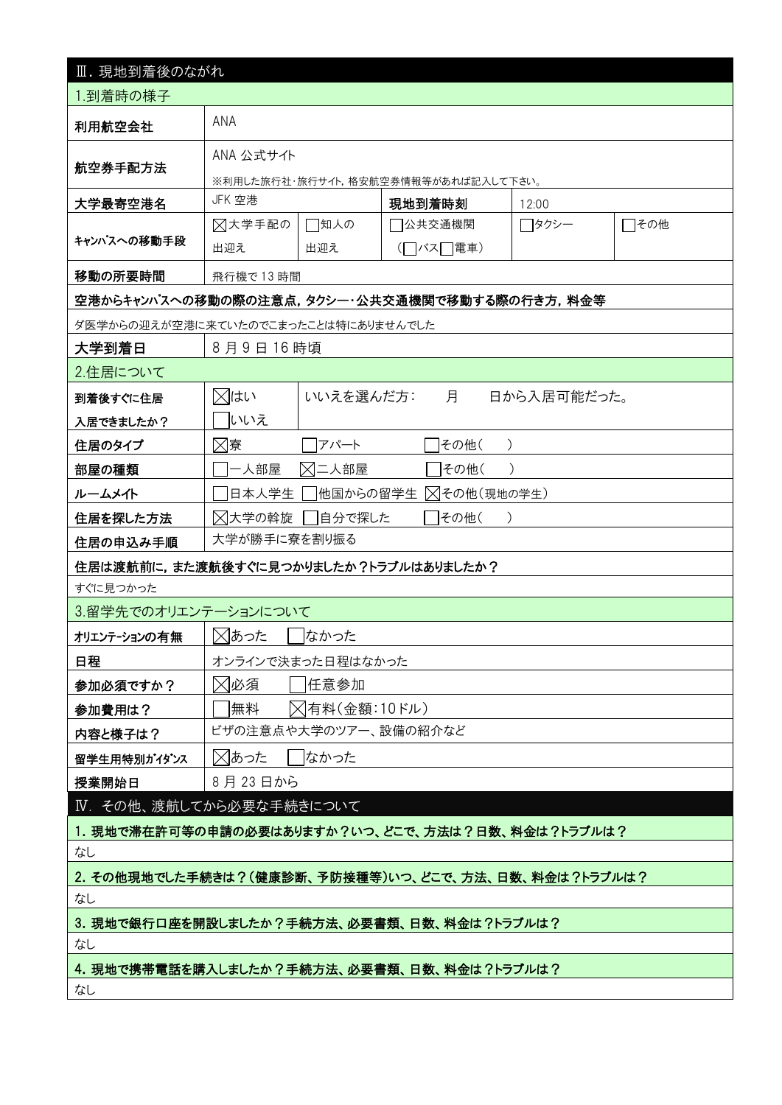| Ⅲ. 現地到着後のながれ                                        |                                           |           |                                     |             |      |  |
|-----------------------------------------------------|-------------------------------------------|-----------|-------------------------------------|-------------|------|--|
| 1.到着時の様子                                            |                                           |           |                                     |             |      |  |
| 利用航空会社                                              | ANA                                       |           |                                     |             |      |  |
|                                                     | ANA 公式サイト                                 |           |                                     |             |      |  |
| 航空券手配方法                                             |                                           |           | ※利用した旅行社・旅行サイト,格安航空券情報等があれば記入して下さい。 |             |      |  |
| 大学最寄空港名                                             | JFK 空港                                    |           | 現地到着時刻                              | 12:00       |      |  |
|                                                     | ⊠大学手配の                                    | □知人の      | 7公共交通機関                             | □タクシー       | □その他 |  |
| キャンパスへの移動手段                                         | 出迎え                                       | 出迎え       | (□バス□電車)                            |             |      |  |
| 移動の所要時間                                             | 飛行機で13時間                                  |           |                                     |             |      |  |
| 空港からキャンパスへの移動の際の注意点,タクシー・公共交通機関で移動する際の行き方,料金等       |                                           |           |                                     |             |      |  |
| ダ医学からの迎えが空港に来ていたのでこまったことは特にありませんでした                 |                                           |           |                                     |             |      |  |
| 大学到着日                                               | 8月9日16時頃                                  |           |                                     |             |      |  |
| 2.住居について                                            |                                           |           |                                     |             |      |  |
| 到着後すぐに住居                                            | ⊠はい                                       | いいえを選んだ方: | 月                                   | 日から入居可能だった。 |      |  |
| 入居できましたか?                                           | いいえ                                       |           |                                     |             |      |  |
| 住居のタイプ                                              | ⊠寮                                        | アパート      | その他(                                |             |      |  |
| 部屋の種類                                               | 一人部屋                                      | ⊠二人部屋     | その他(                                |             |      |  |
| ルームメイト                                              | 日本人学生                                     | 他国からの留学生  | ╳ その他 (現地の学生)                       |             |      |  |
| 住居を探した方法                                            | ⊠大学の斡旋<br>自分で探した<br>その他(<br>$\rightarrow$ |           |                                     |             |      |  |
| 大学が勝手に寮を割り振る<br>住居の申込み手順                            |                                           |           |                                     |             |      |  |
| 住居は渡航前に,また渡航後すぐに見つかりましたか?トラブルはありましたか?               |                                           |           |                                     |             |      |  |
| すぐに見つかった                                            |                                           |           |                                     |             |      |  |
| 3.留学先でのオリエンテーションについて                                |                                           |           |                                     |             |      |  |
| オリエンテーションの有無                                        | ⊠あった<br>なかった                              |           |                                     |             |      |  |
| 日程                                                  | オンラインで決まった日程はなかった                         |           |                                     |             |      |  |
| 参加必須ですか?                                            | ⊠必須<br> 任意参加                              |           |                                     |             |      |  |
| 参加費用は?                                              | ╳ 有料(金額:10ドル)<br> 無料                      |           |                                     |             |      |  |
| 内容と様子は?                                             | ビザの注意点や大学のツアー、設備の紹介など                     |           |                                     |             |      |  |
| 留学生用特別がイダンス                                         | ⊠あった<br> なかった                             |           |                                     |             |      |  |
| 授業開始日                                               | 8月23日から                                   |           |                                     |             |      |  |
| IV. その他、渡航してから必要な手続きについて                            |                                           |           |                                     |             |      |  |
| 1. 現地で滞在許可等の申請の必要はありますか?いつ、どこで、方法は?日数、料金は?トラブルは?    |                                           |           |                                     |             |      |  |
| なし                                                  |                                           |           |                                     |             |      |  |
| 2. その他現地でした手続きは?(健康診断、予防接種等)いつ、どこで、方法、日数、料金は?トラブルは? |                                           |           |                                     |             |      |  |
| なし                                                  |                                           |           |                                     |             |      |  |
| 3. 現地で銀行口座を開設しましたか?手続方法、必要書類、日数、料金は?トラブルは?          |                                           |           |                                     |             |      |  |
| なし<br>4. 現地で携帯電話を購入しましたか?手続方法、必要書類、日数、料金は?トラブルは?    |                                           |           |                                     |             |      |  |
| なし                                                  |                                           |           |                                     |             |      |  |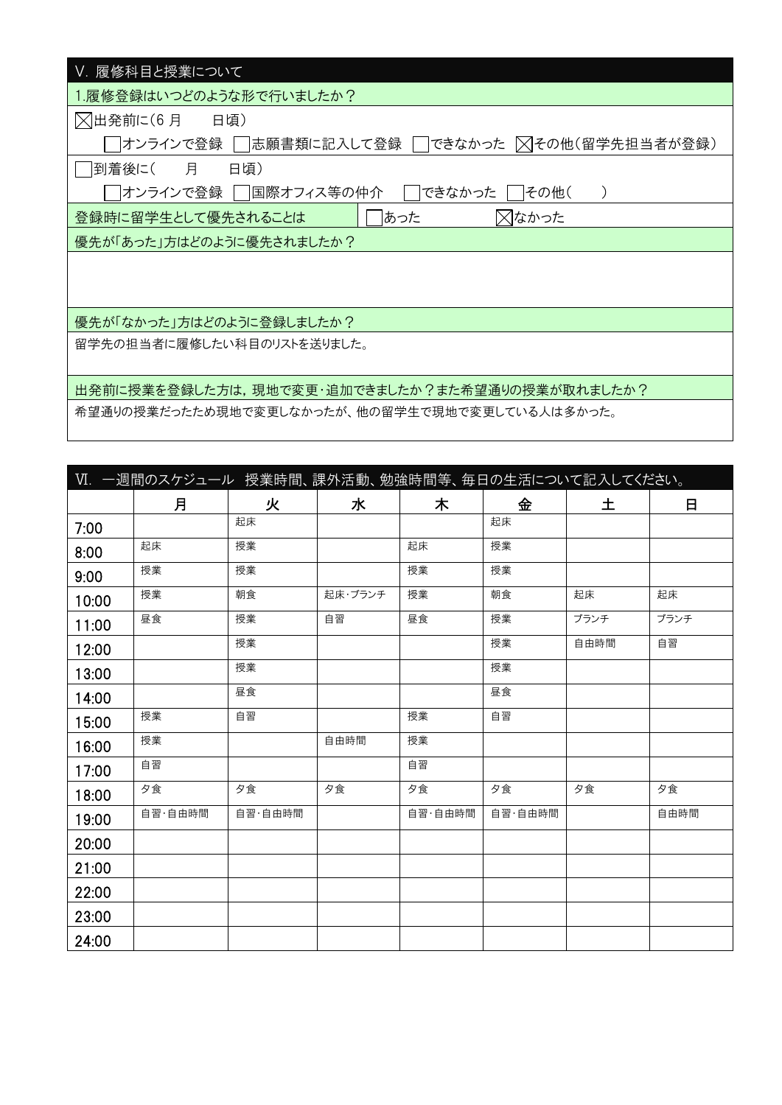| Ⅴ. 履修科目と授業について                                      |
|-----------------------------------------------------|
| 1.履修登録はいつどのような形で行いましたか?                             |
| △出発前に(6月<br>日頃)                                     |
| オンラインで登録     志願書類に記入して登録   できなかった  ╳ その他(留学先担当者が登録) |
| 月<br> 到着後に(<br>日頃)                                  |
| オンラインで登録    国際オフィス等の仲介<br>できなかった<br>   その他(         |
| ⊠なかった<br>あった<br>登録時に留学生として優先されることは                  |
| 優先が「あった」方はどのように優先されましたか?                            |
|                                                     |
|                                                     |
| 優先が「なかった」方はどのように登録しましたか?                            |
|                                                     |
| 留学先の担当者に履修したい科目のリストを送りました。                          |
|                                                     |
| 出発前に授業を登録した方は,現地で変更・追加できましたか?また希望通りの授業が取れましたか?      |
| 希望通りの授業だったため現地で変更しなかったが、他の留学生で現地で変更している人は多かった。      |

|       | VI. 一週間のスケジュール 授業時間、課外活動、勉強時間等、毎日の生活について記入してください。 |         |         |         |         |      |      |
|-------|---------------------------------------------------|---------|---------|---------|---------|------|------|
|       | 月                                                 | 火       | 水       | 木       | 金       | 土    | 日    |
| 7:00  |                                                   | 起床      |         |         | 起床      |      |      |
| 8:00  | 起床                                                | 授業      |         | 起床      | 授業      |      |      |
| 9:00  | 授業                                                | 授業      |         | 授業      | 授業      |      |      |
| 10:00 | 授業                                                | 朝食      | 起床・ブランチ | 授業      | 朝食      | 起床   | 起床   |
| 11:00 | 昼食                                                | 授業      | 自習      | 昼食      | 授業      | ブランチ | ブランチ |
| 12:00 |                                                   | 授業      |         |         | 授業      | 自由時間 | 自習   |
| 13:00 |                                                   | 授業      |         |         | 授業      |      |      |
| 14:00 |                                                   | 昼食      |         |         | 昼食      |      |      |
| 15:00 | 授業                                                | 自習      |         | 授業      | 自習      |      |      |
| 16:00 | 授業                                                |         | 自由時間    | 授業      |         |      |      |
| 17:00 | 自習                                                |         |         | 自習      |         |      |      |
| 18:00 | 夕食                                                | 夕食      | 夕食      | 夕食      | 夕食      | 夕食   | 夕食   |
| 19:00 | 自習·自由時間                                           | 自習·自由時間 |         | 自習·自由時間 | 自習·自由時間 |      | 自由時間 |
| 20:00 |                                                   |         |         |         |         |      |      |
| 21:00 |                                                   |         |         |         |         |      |      |
| 22:00 |                                                   |         |         |         |         |      |      |
| 23:00 |                                                   |         |         |         |         |      |      |
| 24:00 |                                                   |         |         |         |         |      |      |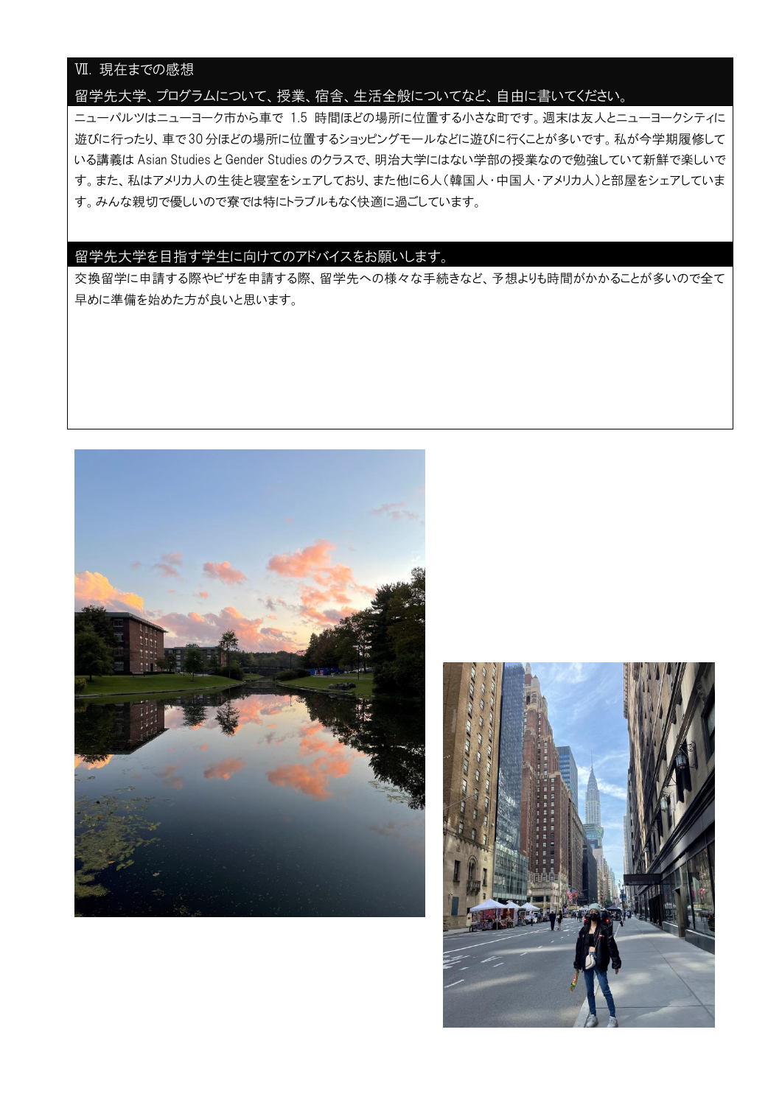# Ⅶ. 現在までの感想

### 留学先大学、プログラムについて、授業、宿舎、生活全般についてなど、自由に書いてください。

ニューパルツはニューヨーク市から車で 1.5 時間ほどの場所に位置する小さな町です。週末は友人とニューヨークシティに 遊びに行ったり、車で 30分ほどの場所に位置するショッピングモールなどに遊びに行くことが多いです。私が今学期履修して いる講義は Asian Studies と Gender Studies のクラスで、明治大学にはない学部の授業なので勉強していて新鮮で楽しいで す。また、私はアメリカ人の生徒と寝室をシェアしており、また他に6人(韓国人・中国人・アメリカ人)と部屋をシェアしていま す。みんな親切で優しいので寮では特にトラブルもなく快適に過ごしています。

### 留学先大学を目指す学生に向けてのアドバイスをお願いします。

交換留学に申請する際やビザを申請する際、留学先への様々な手続きなど、予想よりも時間がかかることが多いので全て 早めに準備を始めた方が良いと思います。



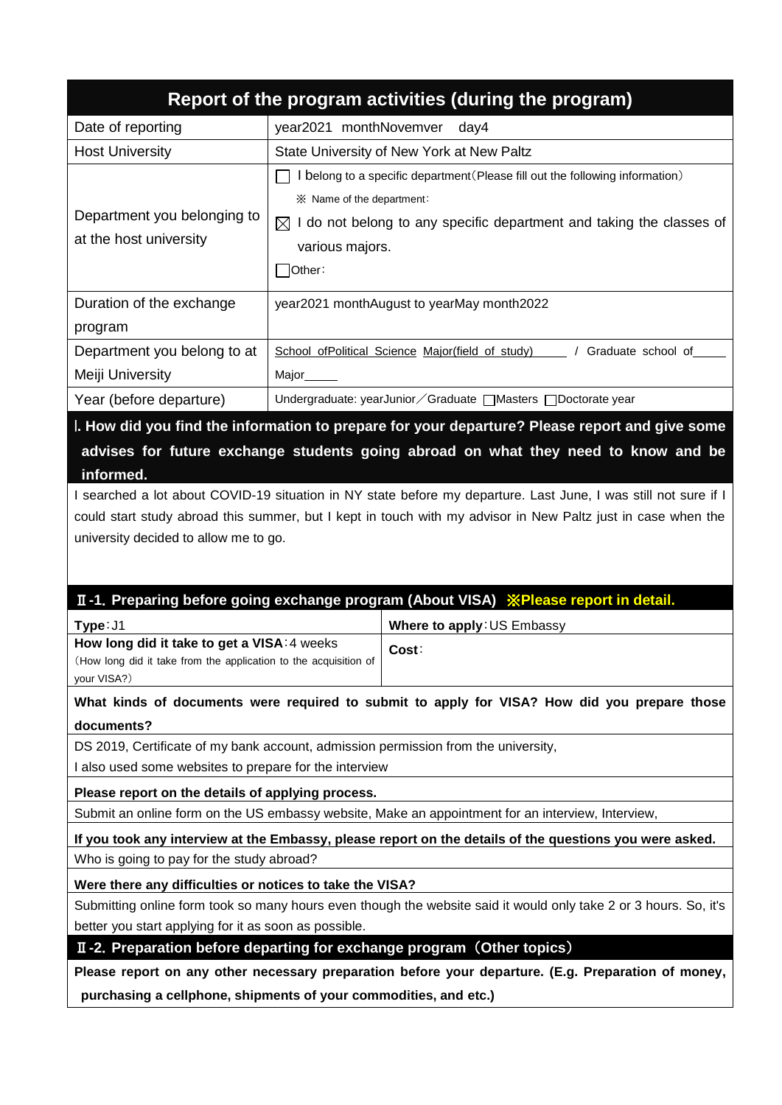|                                                       | Report of the program activities (during the program)                                                                                                                                                                           |
|-------------------------------------------------------|---------------------------------------------------------------------------------------------------------------------------------------------------------------------------------------------------------------------------------|
| Date of reporting                                     | year2021 monthNovemver<br>day4                                                                                                                                                                                                  |
| <b>Host University</b>                                | State University of New York at New Paltz                                                                                                                                                                                       |
| Department you belonging to<br>at the host university | I belong to a specific department (Please fill out the following information)<br>im X Name of the department:<br>I do not belong to any specific department and taking the classes of<br>$\bowtie$<br>various majors.<br>Other: |
| Duration of the exchange                              | year2021 monthAugust to yearMay month2022                                                                                                                                                                                       |
| program                                               |                                                                                                                                                                                                                                 |
| Department you belong to at                           | School ofPolitical Science Major(field of study)<br>/ Graduate school of                                                                                                                                                        |
| Meiji University                                      | Major <sub>_______</sub>                                                                                                                                                                                                        |
| Year (before departure)                               | Undergraduate: yearJunior / Graduate   Masters   Doctorate year                                                                                                                                                                 |
| informed.                                             | l. How did you find the information to prepare for your departure? Please report and give some<br>advises for future exchange students going abroad on what they need to know and be                                            |

I searched a lot about COVID-19 situation in NY state before my departure. Last June, I was still not sure if I could start study abroad this summer, but I kept in touch with my advisor in New Paltz just in case when the university decided to allow me to go.

# Ⅱ**-1**.**Preparing before going exchange program (About VISA)** ※**Please report in detail.**

| Type: J1                                                         | Where to apply: US Embassy |  |  |
|------------------------------------------------------------------|----------------------------|--|--|
| How long did it take to get a VISA: 4 weeks                      | Cost:                      |  |  |
| (How long did it take from the application to the acquisition of |                            |  |  |
| your VISA?)                                                      |                            |  |  |

**What kinds of documents were required to submit to apply for VISA? How did you prepare those documents?**

DS 2019, Certificate of my bank account, admission permission from the university,

I also used some websites to prepare for the interview

**Please report on the details of applying process.**

Submit an online form on the US embassy website, Make an appointment for an interview, Interview,

**If you took any interview at the Embassy, please report on the details of the questions you were asked.**

Who is going to pay for the study abroad?

**Were there any difficulties or notices to take the VISA?**

Submitting online form took so many hours even though the website said it would only take 2 or 3 hours. So, it's better you start applying for it as soon as possible.

Ⅱ**-2**.**Preparation before departing for exchange program** (**Other topics**)

**Please report on any other necessary preparation before your departure. (E.g. Preparation of money, purchasing a cellphone, shipments of your commodities, and etc.)**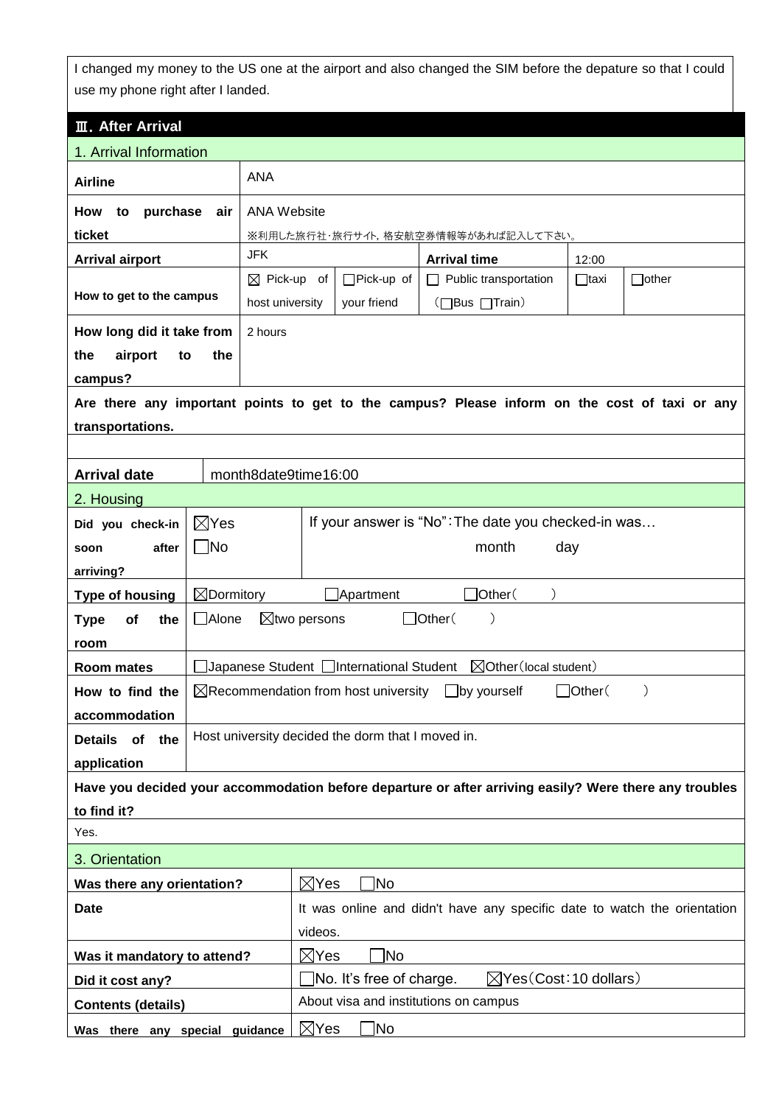I changed my money to the US one at the airport and also changed the SIM before the depature so that I could use my phone right after I landed.

| <b>III. After Arrival</b>                                                                              |                                                                                 |                                                                                               |  |  |  |  |
|--------------------------------------------------------------------------------------------------------|---------------------------------------------------------------------------------|-----------------------------------------------------------------------------------------------|--|--|--|--|
|                                                                                                        |                                                                                 |                                                                                               |  |  |  |  |
| 1. Arrival Information                                                                                 |                                                                                 |                                                                                               |  |  |  |  |
| <b>Airline</b>                                                                                         |                                                                                 | <b>ANA</b>                                                                                    |  |  |  |  |
| purchase<br>How<br>to                                                                                  | <b>ANA Website</b><br>air                                                       |                                                                                               |  |  |  |  |
| ticket                                                                                                 |                                                                                 | ※利用した旅行社・旅行サイト,格安航空券情報等があれば記入して下さい。                                                           |  |  |  |  |
| <b>Arrival airport</b>                                                                                 | <b>JFK</b>                                                                      | <b>Arrival time</b><br>12:00                                                                  |  |  |  |  |
|                                                                                                        | $\boxtimes$ Pick-up of                                                          | $\Box$ Pick-up of<br>$\Box$ Public transportation<br>$\Box$ other<br>⊟taxi                    |  |  |  |  |
| How to get to the campus                                                                               | host university                                                                 | (□Bus □Train)<br>your friend                                                                  |  |  |  |  |
| How long did it take from                                                                              | 2 hours                                                                         |                                                                                               |  |  |  |  |
| the<br>airport<br>to                                                                                   | the                                                                             |                                                                                               |  |  |  |  |
| campus?                                                                                                |                                                                                 |                                                                                               |  |  |  |  |
|                                                                                                        |                                                                                 | Are there any important points to get to the campus? Please inform on the cost of taxi or any |  |  |  |  |
| transportations.                                                                                       |                                                                                 |                                                                                               |  |  |  |  |
|                                                                                                        |                                                                                 |                                                                                               |  |  |  |  |
| <b>Arrival date</b>                                                                                    | month8date9time16:00                                                            |                                                                                               |  |  |  |  |
| 2. Housing                                                                                             |                                                                                 |                                                                                               |  |  |  |  |
| Did you check-in                                                                                       | $\boxtimes$ Yes                                                                 | If your answer is "No": The date you checked-in was                                           |  |  |  |  |
| after<br>soon                                                                                          | $\Box$ No                                                                       | month<br>day                                                                                  |  |  |  |  |
| arriving?                                                                                              |                                                                                 |                                                                                               |  |  |  |  |
| <b>Type of housing</b>                                                                                 | $\boxtimes$ Dormitory                                                           | ]Other(<br>Apartment                                                                          |  |  |  |  |
| <b>Type</b><br>Οf<br>the                                                                               | □Alone<br>$\Box$ Other(<br>$\boxtimes$ two persons                              |                                                                                               |  |  |  |  |
| room                                                                                                   |                                                                                 |                                                                                               |  |  |  |  |
| <b>Room mates</b>                                                                                      |                                                                                 | $\boxtimes$ Other (local student)<br>Japanese Student   International Student                 |  |  |  |  |
| How to find the                                                                                        | $\boxtimes$ Recommendation from host university<br>$J$ Other $($<br>by yourself |                                                                                               |  |  |  |  |
| accommodation                                                                                          |                                                                                 |                                                                                               |  |  |  |  |
| of<br>the<br><b>Details</b>                                                                            | Host university decided the dorm that I moved in.                               |                                                                                               |  |  |  |  |
| application                                                                                            |                                                                                 |                                                                                               |  |  |  |  |
| Have you decided your accommodation before departure or after arriving easily? Were there any troubles |                                                                                 |                                                                                               |  |  |  |  |
| to find it?                                                                                            |                                                                                 |                                                                                               |  |  |  |  |
| Yes.                                                                                                   |                                                                                 |                                                                                               |  |  |  |  |
| 3. Orientation                                                                                         |                                                                                 |                                                                                               |  |  |  |  |
| $\boxtimes$ Yes<br> No<br>Was there any orientation?                                                   |                                                                                 |                                                                                               |  |  |  |  |
| <b>Date</b><br>It was online and didn't have any specific date to watch the orientation                |                                                                                 |                                                                                               |  |  |  |  |
| videos.                                                                                                |                                                                                 |                                                                                               |  |  |  |  |
| Was it mandatory to attend?                                                                            |                                                                                 | $\boxtimes$ Yes<br>No.                                                                        |  |  |  |  |
| Did it cost any?                                                                                       |                                                                                 | $\boxtimes$ Yes(Cost: 10 dollars)<br>$\Box$ No. It's free of charge.                          |  |  |  |  |
| <b>Contents (details)</b>                                                                              |                                                                                 | About visa and institutions on campus                                                         |  |  |  |  |
| $\boxtimes$ Yes<br>$\Box$ No<br>Was there any special guidance                                         |                                                                                 |                                                                                               |  |  |  |  |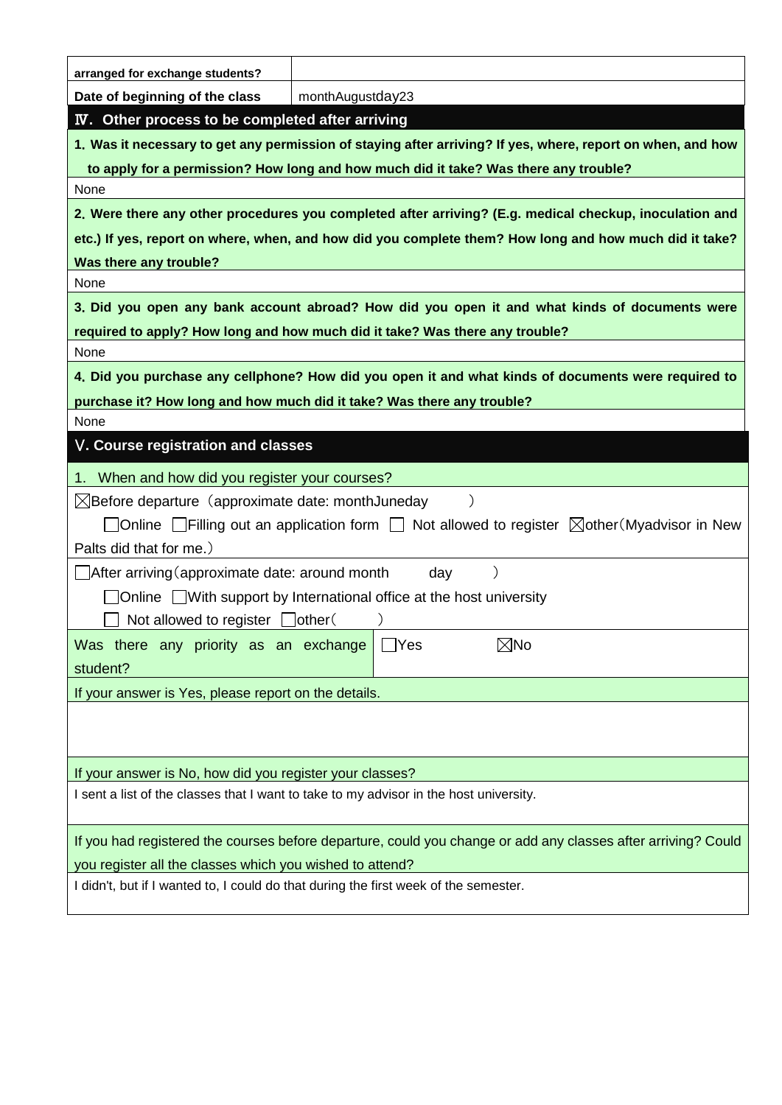| arranged for exchange students?                                                                                    |                  |            |                |  |  |
|--------------------------------------------------------------------------------------------------------------------|------------------|------------|----------------|--|--|
| Date of beginning of the class                                                                                     | monthAugustday23 |            |                |  |  |
| <b>IV.</b> Other process to be completed after arriving                                                            |                  |            |                |  |  |
| 1. Was it necessary to get any permission of staying after arriving? If yes, where, report on when, and how        |                  |            |                |  |  |
| to apply for a permission? How long and how much did it take? Was there any trouble?                               |                  |            |                |  |  |
| None                                                                                                               |                  |            |                |  |  |
| 2. Were there any other procedures you completed after arriving? (E.g. medical checkup, inoculation and            |                  |            |                |  |  |
| etc.) If yes, report on where, when, and how did you complete them? How long and how much did it take?             |                  |            |                |  |  |
| Was there any trouble?                                                                                             |                  |            |                |  |  |
| None                                                                                                               |                  |            |                |  |  |
| 3. Did you open any bank account abroad? How did you open it and what kinds of documents were                      |                  |            |                |  |  |
| required to apply? How long and how much did it take? Was there any trouble?                                       |                  |            |                |  |  |
| None                                                                                                               |                  |            |                |  |  |
| 4. Did you purchase any cellphone? How did you open it and what kinds of documents were required to                |                  |            |                |  |  |
| purchase it? How long and how much did it take? Was there any trouble?                                             |                  |            |                |  |  |
| None                                                                                                               |                  |            |                |  |  |
| V. Course registration and classes                                                                                 |                  |            |                |  |  |
| When and how did you register your courses?                                                                        |                  |            |                |  |  |
| $\boxtimes$ Before departure (approximate date: monthJuneday                                                       |                  |            |                |  |  |
| $\Box$ Online $\Box$ Filling out an application form $\Box$ Not allowed to register $\Box$ other (Myadvisor in New |                  |            |                |  |  |
| Palts did that for me.)                                                                                            |                  |            |                |  |  |
| After arriving (approximate date: around month                                                                     |                  | day        |                |  |  |
| Online ■ With support by International office at the host university                                               |                  |            |                |  |  |
| Not allowed to register $\Box$ other (                                                                             |                  |            |                |  |  |
| Was there any priority as an exchange                                                                              |                  | $\Box$ Yes | $\boxtimes$ No |  |  |
| student?                                                                                                           |                  |            |                |  |  |
| If your answer is Yes, please report on the details.                                                               |                  |            |                |  |  |
|                                                                                                                    |                  |            |                |  |  |
|                                                                                                                    |                  |            |                |  |  |
| If your answer is No, how did you register your classes?                                                           |                  |            |                |  |  |
| I sent a list of the classes that I want to take to my advisor in the host university.                             |                  |            |                |  |  |
|                                                                                                                    |                  |            |                |  |  |
| If you had registered the courses before departure, could you change or add any classes after arriving? Could      |                  |            |                |  |  |
| you register all the classes which you wished to attend?                                                           |                  |            |                |  |  |
| I didn't, but if I wanted to, I could do that during the first week of the semester.                               |                  |            |                |  |  |
|                                                                                                                    |                  |            |                |  |  |